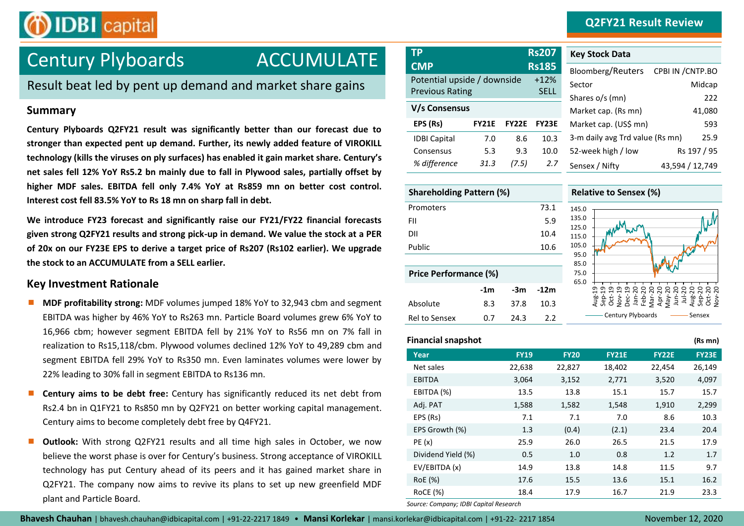# ACCUMULATE **TP Rs207** Century Plyboards **CMP Rs185**

**OIDBI** capital

Result beat led by pent up demand and market share gains

# **Summary**

**Century Plyboards Q2FY21 result was significantly better than our forecast due to stronger than expected pent up demand. Further, its newly added feature of VIROKILL technology (kills the viruses on ply surfaces) has enabled it gain market share. Century's net sales fell 12% YoY Rs5.2 bn mainly due to fall in Plywood sales, partially offset by higher MDF sales. EBITDA fell only 7.4% YoY at Rs859 mn on better cost control. Interest cost fell 83.5% YoY to Rs 18 mn on sharp fall in debt.**

**We introduce FY23 forecast and significantly raise our FY21/FY22 financial forecasts given strong Q2FY21 results and strong pick-up in demand. We value the stock at a PER of 20x on our FY23E EPS to derive a target price of Rs207 (Rs102 earlier). We upgrade the stock to an ACCUMULATE from a SELL earlier.** 

# **Key Investment Rationale**

- **MDF profitability strong:** MDF volumes jumped 18% YoY to 32,943 cbm and segment EBITDA was higher by 46% YoY to Rs263 mn. Particle Board volumes grew 6% YoY to 16,966 cbm; however segment EBITDA fell by 21% YoY to Rs56 mn on 7% fall in realization to Rs15,118/cbm. Plywood volumes declined 12% YoY to 49,289 cbm and segment EBITDA fell 29% YoY to Rs350 mn. Even laminates volumes were lower by 22% leading to 30% fall in segment EBITDA to Rs136 mn.
- **Century aims to be debt free:** Century has significantly reduced its net debt from Rs2.4 bn in Q1FY21 to Rs850 mn by Q2FY21 on better working capital management. Century aims to become completely debt free by Q4FY21.
- **Outlook:** With strong Q2FY21 results and all time high sales in October, we now believe the worst phase is over for Century's business. Strong acceptance of VIROKILL technology has put Century ahead of its peers and it has gained market share in Q2FY21. The company now aims to revive its plans to set up new greenfield MDF plant and Particle Board.

| ΤP                                                    |              |              | <b>Rs207</b>          | <b>Key Stock Data</b>     |
|-------------------------------------------------------|--------------|--------------|-----------------------|---------------------------|
| <b>CMP</b>                                            |              |              | <b>Rs185</b>          | Bloomberg/Reut            |
| Potential upside / downside<br><b>Previous Rating</b> |              |              | $+12%$<br><b>SELL</b> | Sector<br>Shares o/s (mn) |
| V/s Consensus                                         |              |              |                       | Market cap. (Rs r         |
| EPS (Rs)                                              | <b>FY21E</b> | <b>FY22E</b> | <b>FY23E</b>          | Market cap. (US\$         |
| <b>IDBI Capital</b>                                   | 7.0          | 8.6          | 10.3                  | 3-m daily avg Trc         |
| Consensus                                             | 5.3          | 9.3          | 10.0                  | 52-week high / lo         |
| % difference                                          | 31.3         | (7.5)        | 2.7                   | Sensex / Nifty            |

| <b>Shareholding Pattern (%)</b> |       |      |        |                     |  |  |
|---------------------------------|-------|------|--------|---------------------|--|--|
| Promoters                       |       |      | 73.1   | 1                   |  |  |
| FII                             |       |      | 5.9    | 1<br>$\overline{1}$ |  |  |
| DII                             |       |      | 10.4   | $\overline{1}$      |  |  |
| Public                          |       |      | 10.6   | $\mathbf{1}$        |  |  |
|                                 |       |      |        |                     |  |  |
| <b>Price Performance (%)</b>    |       |      |        |                     |  |  |
|                                 | $-1m$ | -3m  | $-12m$ |                     |  |  |
| Absolute                        | 8.3   | 37.8 | 10.3   |                     |  |  |
| Rel to Sensex                   | 0.7   | 24.3 | 2.2    |                     |  |  |

| <b>ICA STOCK DATA</b>           |                   |
|---------------------------------|-------------------|
| Bloomberg/Reuters               | CPBI IN / CNTP.BO |
| Sector                          | Midcap            |
| Shares o/s (mn)                 | 222               |
| Market cap. (Rs mn)             | 41,080            |
| Market cap. (US\$ mn)           | 593               |
| 3-m daily avg Trd value (Rs mn) | 25.9              |
| 52-week high / low              | Rs 197 / 95       |
| Sensex / Nifty                  | 43,594 / 12,749   |



# **Financial snapshot (Rs mn) Year FY19 FY20 FY21E FY22E FY23E** Net sales 22,638 22,827 18,402 22,454 26,149 EBITDA 3,064 3,152 2,771 3,520 4,097 EBITDA (%) 13.5 13.8 15.1 15.7 15.7 Adj. PAT 1,588 1,582 1,548 1,910 2,299 EPS (Rs) 7.1 7.1 7.0 8.6 10.3 EPS Growth (%) 1.3 (0.4) (2.1) 23.4 20.4 PE (x) 25.9 26.0 26.5 21.5 17.9 Dividend Yield (%) 0.5 1.0 0.8 1.2 1.7 EV/EBITDA (x) 14.9 13.8 14.8 11.5 9.7 RoE (%) 17.6 15.5 13.6 15.1 16.2 RoCE (%) 18.4 17.9 16.7 21.9 23.3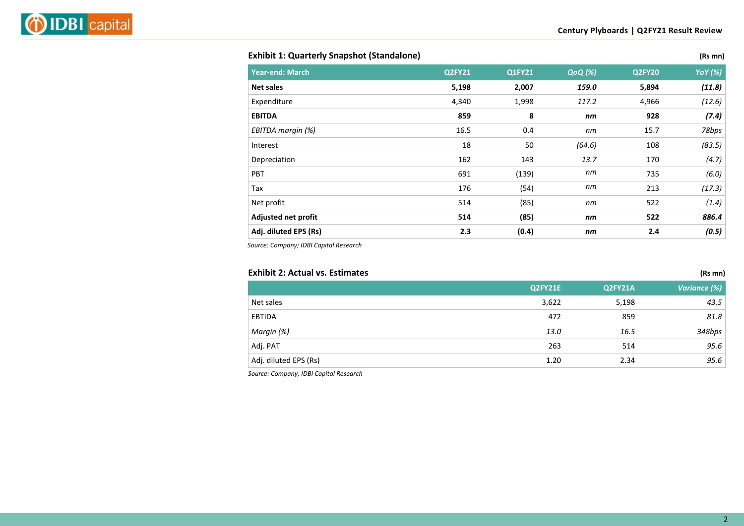## **Exhibit 1: Quarterly Snapshot (Standalone) (Rs mn)**

| <b>Year-end: March</b> | Q2FY21 | Q1FY21 | <b>QoQ</b> (%) | Q2FY20 | <b>YoY</b> (%) |
|------------------------|--------|--------|----------------|--------|----------------|
| <b>Net sales</b>       | 5,198  | 2,007  | 159.0          | 5,894  | (11.8)         |
| Expenditure            | 4,340  | 1,998  | 117.2          | 4,966  | (12.6)         |
| <b>EBITDA</b>          | 859    | 8      | nm             | 928    | (7.4)          |
| EBITDA margin (%)      | 16.5   | 0.4    | пm             | 15.7   | 78bps          |
| Interest               | 18     | 50     | (64.6)         | 108    | (83.5)         |
| Depreciation           | 162    | 143    | 13.7           | 170    | (4.7)          |
| PBT                    | 691    | (139)  | nm             | 735    | (6.0)          |
| Tax                    | 176    | (54)   | пm             | 213    | (17.3)         |
| Net profit             | 514    | (85)   | nm             | 522    | (1.4)          |
| Adjusted net profit    | 514    | (85)   | nm             | 522    | 886.4          |
| Adj. diluted EPS (Rs)  | 2.3    | (0.4)  | nm             | 2.4    | (0.5)          |

*Source: Company; IDBI Capital Research*

| <b>Exhibit 2: Actual vs. Estimates</b> |         |         | (Rs mn)      |
|----------------------------------------|---------|---------|--------------|
|                                        | Q2FY21E | Q2FY21A | Variance (%) |
| Net sales                              | 3,622   | 5,198   | 43.5         |
| EBTIDA                                 | 472     | 859     | 81.8         |
| Margin (%)                             | 13.0    | 16.5    | 348bps       |
| Adj. PAT                               | 263     | 514     | 95.6         |
| Adj. diluted EPS (Rs)                  | 1.20    | 2.34    | 95.6         |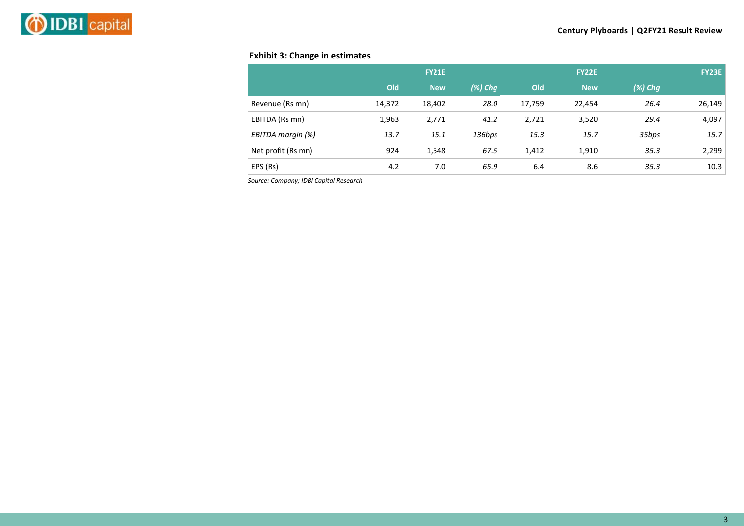# **Exhibit 3: Change in estimates**

|                    |        | <b>FY21E</b> |            |        | <b>FY22E</b> |            | <b>FY23E</b> |
|--------------------|--------|--------------|------------|--------|--------------|------------|--------------|
|                    | Old    | <b>New</b>   | $(\%)$ Chg | Old    | <b>New</b>   | $(\%)$ Chg |              |
| Revenue (Rs mn)    | 14,372 | 18,402       | 28.0       | 17,759 | 22,454       | 26.4       | 26,149       |
| EBITDA (Rs mn)     | 1,963  | 2,771        | 41.2       | 2,721  | 3,520        | 29.4       | 4,097        |
| EBITDA margin (%)  | 13.7   | 15.1         | 136bps     | 15.3   | 15.7         | 35bps      | 15.7         |
| Net profit (Rs mn) | 924    | 1,548        | 67.5       | 1,412  | 1,910        | 35.3       | 2,299        |
| EPS (Rs)           | 4.2    | 7.0          | 65.9       | 6.4    | 8.6          | 35.3       | 10.3         |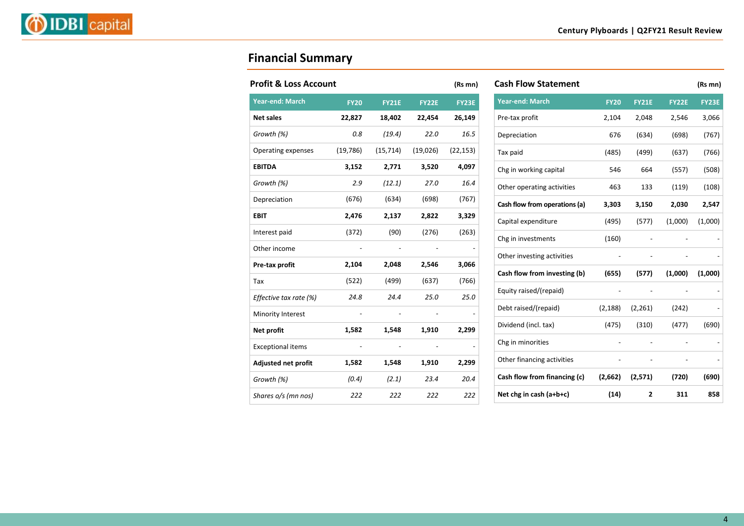# **Financial Summary**

| <b>Profit &amp; Loss Account</b> |             |              |              | (Rs mn)   |
|----------------------------------|-------------|--------------|--------------|-----------|
| <b>Year-end: March</b>           | <b>FY20</b> | <b>FY21E</b> | <b>FY22E</b> | FY23E     |
| <b>Net sales</b>                 | 22,827      | 18,402       | 22,454       | 26,149    |
| Growth (%)                       | 0.8         | (19.4)       | 22.0         | 16.5      |
| Operating expenses               | (19, 786)   | (15, 714)    | (19,026)     | (22, 153) |
| <b>EBITDA</b>                    | 3,152       | 2,771        | 3,520        | 4,097     |
| Growth (%)                       | 2.9         | (12.1)       | 27.0         | 16.4      |
| Depreciation                     | (676)       | (634)        | (698)        | (767)     |
| <b>EBIT</b>                      | 2,476       | 2,137        | 2,822        | 3,329     |
| Interest paid                    | (372)       | (90)         | (276)        | (263)     |
| Other income                     |             |              |              |           |
| Pre-tax profit                   | 2,104       | 2,048        | 2,546        | 3,066     |
| Tax                              | (522)       | (499)        | (637)        | (766)     |
| Effective tax rate (%)           | 24.8        | 24.4         | 25.0         | 25.0      |
| Minority Interest                |             |              |              |           |
| Net profit                       | 1,582       | 1,548        | 1,910        | 2,299     |
| <b>Exceptional items</b>         |             |              |              |           |
| Adjusted net profit              | 1,582       | 1,548        | 1,910        | 2,299     |
| Growth (%)                       | (0.4)       | (2.1)        | 23.4         | 20.4      |
| Shares o/s (mn nos)              | 222         | 222          | 222          | 222       |

| <b>Cash Flow Statement</b>    |             |              |              | (Rs mn)      |
|-------------------------------|-------------|--------------|--------------|--------------|
| <b>Year-end: March</b>        | <b>FY20</b> | <b>FY21E</b> | <b>FY22E</b> | <b>FY23E</b> |
| Pre-tax profit                | 2,104       | 2,048        | 2,546        | 3,066        |
| Depreciation                  | 676         | (634)        | (698)        | (767)        |
| Tax paid                      | (485)       | (499)        | (637)        | (766)        |
| Chg in working capital        | 546         | 664          | (557)        | (508)        |
| Other operating activities    | 463         | 133          | (119)        | (108)        |
| Cash flow from operations (a) | 3,303       | 3,150        | 2,030        | 2,547        |
| Capital expenditure           | (495)       | (577)        | (1,000)      | (1,000)      |
| Chg in investments            | (160)       |              |              |              |
| Other investing activities    |             |              |              |              |
| Cash flow from investing (b)  | (655)       | (577)        | (1,000)      | (1,000)      |
| Equity raised/(repaid)        |             |              |              |              |
| Debt raised/(repaid)          | (2, 188)    | (2, 261)     | (242)        |              |
| Dividend (incl. tax)          | (475)       | (310)        | (477)        | (690)        |
| Chg in minorities             |             |              |              |              |
| Other financing activities    |             |              |              |              |
| Cash flow from financing (c)  | (2,662)     | (2,571)      | (720)        | (690)        |
| Net chg in cash $(a+b+c)$     | (14)        | 2            | 311          | 858          |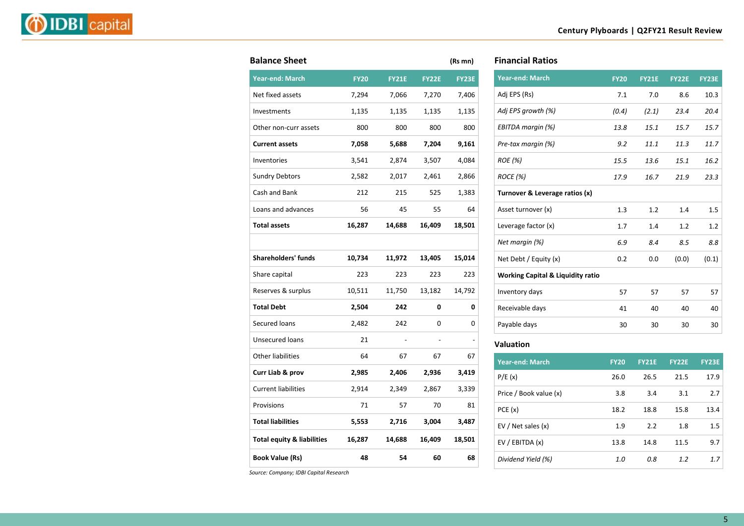|--|--|

| <b>Balance Sheet</b>                  |             |              |              | (Rs mn) |
|---------------------------------------|-------------|--------------|--------------|---------|
| <b>Year-end: March</b>                | <b>FY20</b> | <b>FY21E</b> | <b>FY22E</b> | FY23E   |
| Net fixed assets                      | 7,294       | 7,066        | 7,270        | 7,406   |
| Investments                           | 1,135       | 1,135        | 1,135        | 1,135   |
| Other non-curr assets                 | 800         | 800          | 800          | 800     |
| <b>Current assets</b>                 | 7,058       | 5,688        | 7,204        | 9,161   |
| Inventories                           | 3,541       | 2,874        | 3,507        | 4,084   |
| <b>Sundry Debtors</b>                 | 2,582       | 2,017        | 2,461        | 2,866   |
| Cash and Bank                         | 212         | 215          | 525          | 1,383   |
| Loans and advances                    | 56          | 45           | 55           | 64      |
| <b>Total assets</b>                   | 16,287      | 14,688       | 16,409       | 18,501  |
|                                       |             |              |              |         |
| <b>Shareholders' funds</b>            | 10,734      | 11,972       | 13,405       | 15,014  |
| Share capital                         | 223         | 223          | 223          | 223     |
| Reserves & surplus                    | 10,511      | 11,750       | 13,182       | 14,792  |
| <b>Total Debt</b>                     | 2,504       | 242          | 0            | 0       |
| Secured loans                         | 2,482       | 242          | 0            | 0       |
| <b>Unsecured loans</b>                | 21          |              |              |         |
| <b>Other liabilities</b>              | 64          | 67           | 67           | 67      |
| Curr Liab & prov                      | 2,985       | 2,406        | 2,936        | 3,419   |
| <b>Current liabilities</b>            | 2,914       | 2,349        | 2,867        | 3,339   |
| Provisions                            | 71          | 57           | 70           | 81      |
| <b>Total liabilities</b>              | 5,553       | 2,716        | 3,004        | 3,487   |
| <b>Total equity &amp; liabilities</b> | 16,287      | 14,688       | 16,409       | 18,501  |
| <b>Book Value (Rs)</b>                | 48          | 54           | 60           | 68      |
|                                       |             |              |              |         |

| <b>Financial Ratios</b> |
|-------------------------|
|-------------------------|

| <b>Year-end: March</b>                       | <b>FY20</b> | <b>FY21E</b> | <b>FY22E</b> | <b>FY23E</b> |
|----------------------------------------------|-------------|--------------|--------------|--------------|
| Adj EPS (Rs)                                 | 7.1         | 7.0          | 8.6          | 10.3         |
| Adj EPS growth (%)                           | (0.4)       | (2.1)        | 23.4         | 20.4         |
| EBITDA margin (%)                            | 13.8        | 15.1         | 15.7         | 15.7         |
| Pre-tax margin (%)                           | 9.2         | 11.1         | 11.3         | 11.7         |
| <i>ROE</i> (%)                               | 15.5        | 13.6         | 15.1         | 16.2         |
| ROCE (%)                                     | 17.9        | 16.7         | 21.9         | 23.3         |
| Turnover & Leverage ratios (x)               |             |              |              |              |
| Asset turnover (x)                           | 1.3         | 1.2          | 1.4          | 1.5          |
| Leverage factor (x)                          | 1.7         | 1.4          | 1.2          | 1.2          |
| Net margin (%)                               | 6.9         | 8.4          | 8.5          | 8.8          |
| Net Debt / Equity (x)                        | 0.2         | 0.0          | (0.0)        | (0.1)        |
| <b>Working Capital &amp; Liquidity ratio</b> |             |              |              |              |
| Inventory days                               | 57          | 57           | 57           | 57           |
| Receivable days                              | 41          | 40           | 40           | 40           |
| Payable days                                 | 30          | 30           | 30           | 30           |

#### **Valuation**

| <b>Year-end: March</b> | <b>FY20</b> | <b>FY21E</b> | <b>FY22E</b> | <b>FY23E</b> |
|------------------------|-------------|--------------|--------------|--------------|
| P/E(x)                 | 26.0        | 26.5         | 21.5         | 17.9         |
| Price / Book value (x) | 3.8         | 3.4          | 3.1          | 2.7          |
| PCE(x)                 | 18.2        | 18.8         | 15.8         | 13.4         |
| EV / Net sales $(x)$   | 1.9         | 2.2          | 1.8          | 1.5          |
| EV / EBITDA (x)        | 13.8        | 14.8         | 11.5         | 9.7          |
| Dividend Yield (%)     | 1.0         | 0.8          | 1.2          | 1.7          |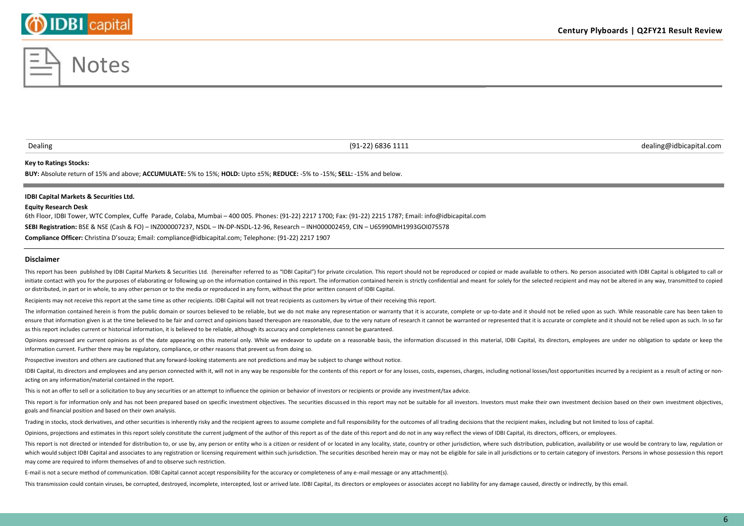### **Century Plyboards | Q2FY21 Result Review**

#### **Key to Ratings Stocks:**

**BUY:** Absolute return of 15% and above; **ACCUMULATE:** 5% to 15%; **HOLD:** Upto ±5%; **REDUCE:** -5% to -15%; **SELL:** -15% and below.

#### **IDBI Capital Markets & Securities Ltd.**

#### **Equity Research Desk**

6th Floor, IDBI Tower, WTC Complex, Cuffe Parade, Colaba, Mumbai – 400 005. Phones: (91-22) 2217 1700; Fax: (91-22) 2215 1787; Email: info@idbicapital.com **SEBI Registration:** BSE & NSE (Cash & FO) – INZ000007237, NSDL – IN-DP-NSDL-12-96, Research – INH000002459, CIN – U65990MH1993GOI075578 **Compliance Officer:** Christina D'souza; Email: compliance@idbicapital.com; Telephone: (91-22) 2217 1907

**Disclaimer**

This report has been published by IDBI Capital Markets & Securities Ltd. (hereinafter referred to as "IDBI Capital") for private circulation. This report should not be reproduced or copied or made available to others. No p initiate contact with you for the purposes of elaborating or following up on the information contained in this report. The information contained herein is strictly confidential and meant for solely for the selected recipie or distributed, in part or in whole, to any other person or to the media or reproduced in any form, without the prior written consent of IDBI Capital.

Recipients may not receive this report at the same time as other recipients. IDBI Capital will not treat recipients as customers by virtue of their receiving this report.

The information contained herein is from the public domain or sources believed to be reliable, but we do not make any representation or warranty that it is accurate, complete or up-to-date and it should not be relied upon ensure that information given is at the time believed to be fair and correct and opinions based thereupon are reasonable, due to the very nature of research it cannot be warranted or represented that it is accurate or comp as this report includes current or historical information, it is believed to be reliable, although its accuracy and completeness cannot be guaranteed.

Opinions expressed are current opinions as of the date appearing on this material only. While we endeavor to update on a reasonable basis, the information discussed in this material, IDBI Capital, its directors, employees information current. Further there may be regulatory, compliance, or other reasons that prevent us from doing so.

Prospective investors and others are cautioned that any forward-looking statements are not predictions and may be subject to change without notice.

IDBI Capital, its directors and employees and any person connected with it, will not in any way be responsible for the contents of this report or for any losses, costs, expenses, charges, including notional losses/lost opp acting on any information/material contained in the report.

This is not an offer to sell or a solicitation to buy any securities or an attempt to influence the opinion or behavior of investors or recipients or provide any investment/tax advice.

This report is for information only and has not been prepared based on specific investment objectives. The securities discussed in this report may not be suitable for all investors. Investors must make their own investment goals and financial position and based on their own analysis.

Trading in stocks, stock derivatives, and other securities is inherently risky and the recipient agrees to assume complete and full responsibility for the outcomes of all trading decisions that the recipient makes, includi

Opinions, projections and estimates in this report solely constitute the current judgment of the author of this report as of the date of this report and do not in any way reflect the views of IDBI Capital, its directors, o

This report is not directed or intended for distribution to, or use by, any person or entity who is a citizen or resident of or located in any locality, state, country or other jurisdiction, where such distribution, public which would subject IDBI Capital and associates to any registration or licensing requirement within such jurisdiction. The securities described herein may or may not be eligible for sale in all jurisdictions or to certain may come are required to inform themselves of and to observe such restriction.

E-mail is not a secure method of communication. IDBI Capital cannot accept responsibility for the accuracy or completeness of any e-mail message or any attachment(s).

This transmission could contain viruses, be corrupted, destroyed, incomplete, intercepted, lost or arrived late. IDBI Capital, its directors or employees or associates accept no liability for any damage caused, directly or



Dealing (91-22) 6836 1111 dealing@idbicapital.com